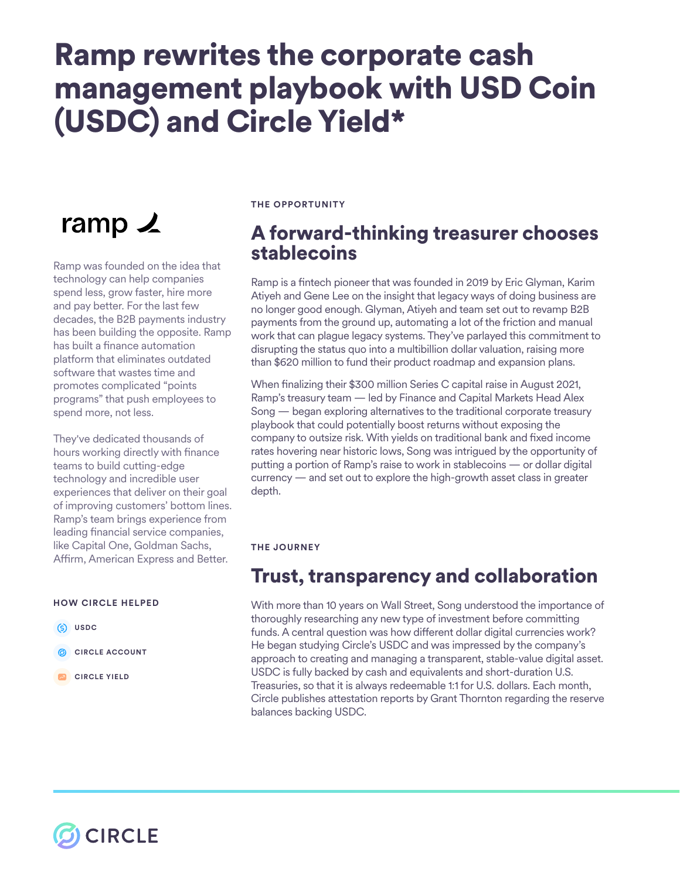# Ramp rewrites the corporate cash management playbook with USD Coin (USDC) and Circle Yield\*

## ramp  $\angle$

Ramp was founded on the idea that technology can help companies spend less, grow faster, hire more and pay better. For the last few decades, the B2B payments industry has been building the opposite. Ramp has built a finance automation platform that eliminates outdated software that wastes time and promotes complicated "points programs" that push employees to spend more, not less.

They've dedicated thousands of hours working directly with finance teams to build cutting-edge technology and incredible user experiences that deliver on their goal of improving customers' bottom lines. Ramp's team brings experience from leading fnancial service companies, like Capital One, Goldman Sachs, Affirm, American Express and Better.

#### **HOW CIRCLE HELPED**

- **USDC**
- **CIRCLE ACCOUNT**
- **CIRCLE YIELD**

#### **THE OPPORTUNITY**

## A forward-thinking treasurer chooses stablecoins

Ramp is a fntech pioneer that was founded in 2019 by Eric Glyman, Karim Atiyeh and Gene Lee on the insight that legacy ways of doing business are no longer good enough. Glyman, Atiyeh and team set out to revamp B2B payments from the ground up, automating a lot of the friction and manual work that can plague legacy systems. They've parlayed this commitment to disrupting the status quo into a multibillion dollar valuation, raising more than \$620 million to fund their product roadmap and expansion plans.

When fnalizing their \$300 million Series C capital raise in August 2021, Ramp's treasury team — led by Finance and Capital Markets Head Alex Song — began exploring alternatives to the traditional corporate treasury playbook that could potentially boost returns without exposing the company to outsize risk. With yields on traditional bank and fxed income rates hovering near historic lows, Song was intrigued by the opportunity of putting a portion of Ramp's raise to work in stablecoins — or dollar digital currency — and set out to explore the high-growth asset class in greater depth.

#### **THE JOURNEY**

## Trust, transparency and collaboration

With more than 10 years on Wall Street, Song understood the importance of thoroughly researching any new type of investment before committing funds. A central question was how diferent dollar digital currencies work? He began studying Circle's USDC and was impressed by the company's approach to creating and managing a transparent, stable-value digital asset. USDC is fully backed by cash and equivalents and short-duration U.S. Treasuries, so that it is always redeemable 1:1 for U.S. dollars. Each month, Circle publishes attestation reports by Grant Thornton regarding the reserve balances backing USDC.